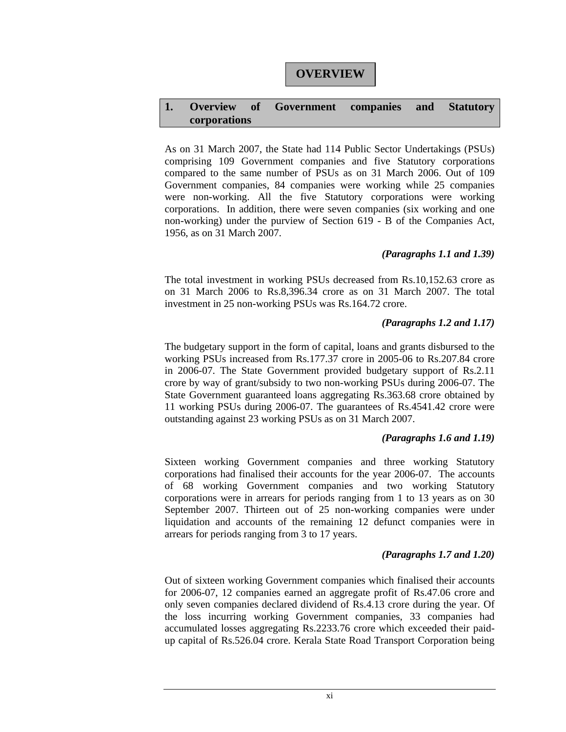# **1. Overview of Government companies and Statutory corporations**

As on 31 March 2007, the State had 114 Public Sector Undertakings (PSUs) comprising 109 Government companies and five Statutory corporations compared to the same number of PSUs as on 31 March 2006. Out of 109 Government companies, 84 companies were working while 25 companies were non-working. All the five Statutory corporations were working corporations. In addition, there were seven companies (six working and one non-working) under the purview of Section 619 - B of the Companies Act, 1956, as on 31 March 2007.

# *(Paragraphs 1.1 and 1.39)*

The total investment in working PSUs decreased from Rs.10,152.63 crore as on 31 March 2006 to Rs.8,396.34 crore as on 31 March 2007. The total investment in 25 non-working PSUs was Rs.164.72 crore.

# *(Paragraphs 1.2 and 1.17)*

The budgetary support in the form of capital, loans and grants disbursed to the working PSUs increased from Rs.177.37 crore in 2005-06 to Rs.207.84 crore in 2006-07. The State Government provided budgetary support of Rs.2.11 crore by way of grant/subsidy to two non-working PSUs during 2006-07. The State Government guaranteed loans aggregating Rs.363.68 crore obtained by 11 working PSUs during 2006-07. The guarantees of Rs.4541.42 crore were outstanding against 23 working PSUs as on 31 March 2007.

# *(Paragraphs 1.6 and 1.19)*

Sixteen working Government companies and three working Statutory corporations had finalised their accounts for the year 2006-07. The accounts of 68 working Government companies and two working Statutory corporations were in arrears for periods ranging from 1 to 13 years as on 30 September 2007. Thirteen out of 25 non-working companies were under liquidation and accounts of the remaining 12 defunct companies were in arrears for periods ranging from 3 to 17 years.

# *(Paragraphs 1.7 and 1.20)*

Out of sixteen working Government companies which finalised their accounts for 2006-07, 12 companies earned an aggregate profit of Rs.47.06 crore and only seven companies declared dividend of Rs.4.13 crore during the year. Of the loss incurring working Government companies, 33 companies had accumulated losses aggregating Rs.2233.76 crore which exceeded their paidup capital of Rs.526.04 crore. Kerala State Road Transport Corporation being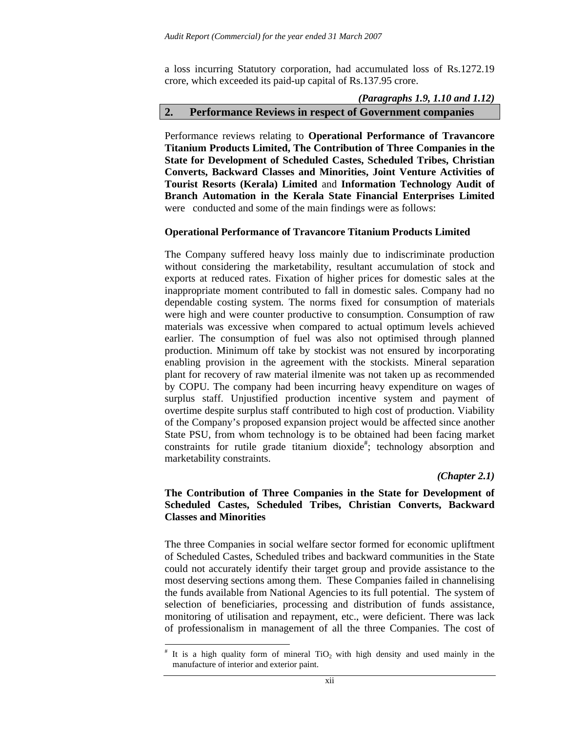a loss incurring Statutory corporation, had accumulated loss of Rs.1272.19 crore, which exceeded its paid-up capital of Rs.137.95 crore.

## *(Paragraphs 1.9, 1.10 and 1.12)*  **2. Performance Reviews in respect of Government companies**

Performance reviews relating to **Operational Performance of Travancore Titanium Products Limited, The Contribution of Three Companies in the State for Development of Scheduled Castes, Scheduled Tribes, Christian Converts, Backward Classes and Minorities, Joint Venture Activities of Tourist Resorts (Kerala) Limited** and **Information Technology Audit of Branch Automation in the Kerala State Financial Enterprises Limited**  were conducted and some of the main findings were as follows:

#### **Operational Performance of Travancore Titanium Products Limited**

The Company suffered heavy loss mainly due to indiscriminate production without considering the marketability, resultant accumulation of stock and exports at reduced rates. Fixation of higher prices for domestic sales at the inappropriate moment contributed to fall in domestic sales. Company had no dependable costing system. The norms fixed for consumption of materials were high and were counter productive to consumption. Consumption of raw materials was excessive when compared to actual optimum levels achieved earlier. The consumption of fuel was also not optimised through planned production. Minimum off take by stockist was not ensured by incorporating enabling provision in the agreement with the stockists. Mineral separation plant for recovery of raw material ilmenite was not taken up as recommended by COPU. The company had been incurring heavy expenditure on wages of surplus staff. Unjustified production incentive system and payment of overtime despite surplus staff contributed to high cost of production. Viability of the Company's proposed expansion project would be affected since another State PSU, from whom technology is to be obtained had been facing market constraints for rutile grade titanium dioxide<sup>#</sup>; technology absorption and marketability constraints.

#### *(Chapter 2.1)*

## **The Contribution of Three Companies in the State for Development of Scheduled Castes, Scheduled Tribes, Christian Converts, Backward Classes and Minorities**

The three Companies in social welfare sector formed for economic upliftment of Scheduled Castes, Scheduled tribes and backward communities in the State could not accurately identify their target group and provide assistance to the most deserving sections among them. These Companies failed in channelising the funds available from National Agencies to its full potential. The system of selection of beneficiaries, processing and distribution of funds assistance, monitoring of utilisation and repayment, etc., were deficient. There was lack of professionalism in management of all the three Companies. The cost of

 $\overline{a}$ 

<sup>#</sup> It is a high quality form of mineral  $TiO<sub>2</sub>$  with high density and used mainly in the manufacture of interior and exterior paint.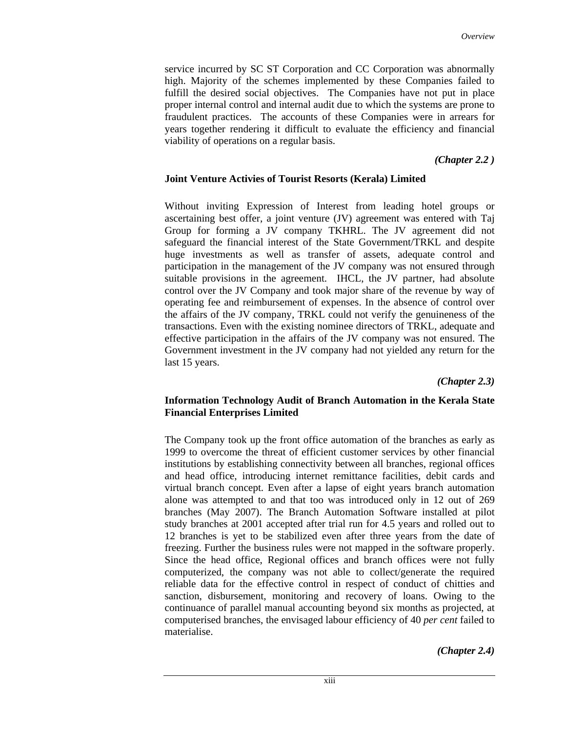service incurred by SC ST Corporation and CC Corporation was abnormally high. Majority of the schemes implemented by these Companies failed to fulfill the desired social objectives. The Companies have not put in place proper internal control and internal audit due to which the systems are prone to fraudulent practices. The accounts of these Companies were in arrears for years together rendering it difficult to evaluate the efficiency and financial viability of operations on a regular basis.

 *(Chapter 2.2 )* 

### **Joint Venture Activies of Tourist Resorts (Kerala) Limited**

Without inviting Expression of Interest from leading hotel groups or ascertaining best offer, a joint venture (JV) agreement was entered with Taj Group for forming a JV company TKHRL. The JV agreement did not safeguard the financial interest of the State Government/TRKL and despite huge investments as well as transfer of assets, adequate control and participation in the management of the JV company was not ensured through suitable provisions in the agreement. IHCL, the JV partner, had absolute control over the JV Company and took major share of the revenue by way of operating fee and reimbursement of expenses. In the absence of control over the affairs of the JV company, TRKL could not verify the genuineness of the transactions. Even with the existing nominee directors of TRKL, adequate and effective participation in the affairs of the JV company was not ensured. The Government investment in the JV company had not yielded any return for the last 15 years.

 *(Chapter 2.3)* 

## **Information Technology Audit of Branch Automation in the Kerala State Financial Enterprises Limited**

The Company took up the front office automation of the branches as early as 1999 to overcome the threat of efficient customer services by other financial institutions by establishing connectivity between all branches, regional offices and head office, introducing internet remittance facilities, debit cards and virtual branch concept. Even after a lapse of eight years branch automation alone was attempted to and that too was introduced only in 12 out of 269 branches (May 2007). The Branch Automation Software installed at pilot study branches at 2001 accepted after trial run for 4.5 years and rolled out to 12 branches is yet to be stabilized even after three years from the date of freezing. Further the business rules were not mapped in the software properly. Since the head office, Regional offices and branch offices were not fully computerized, the company was not able to collect/generate the required reliable data for the effective control in respect of conduct of chitties and sanction, disbursement, monitoring and recovery of loans. Owing to the continuance of parallel manual accounting beyond six months as projected, at computerised branches, the envisaged labour efficiency of 40 *per cent* failed to materialise.

*(Chapter 2.4)*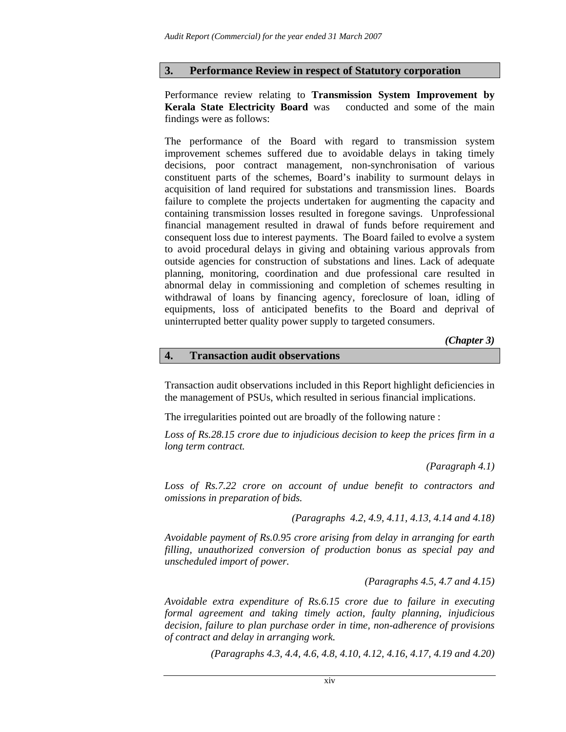### **3. Performance Review in respect of Statutory corporation**

Performance review relating to **Transmission System Improvement by Kerala State Electricity Board** was conducted and some of the main findings were as follows:

The performance of the Board with regard to transmission system improvement schemes suffered due to avoidable delays in taking timely decisions, poor contract management, non-synchronisation of various constituent parts of the schemes, Board's inability to surmount delays in acquisition of land required for substations and transmission lines. Boards failure to complete the projects undertaken for augmenting the capacity and containing transmission losses resulted in foregone savings. Unprofessional financial management resulted in drawal of funds before requirement and consequent loss due to interest payments. The Board failed to evolve a system to avoid procedural delays in giving and obtaining various approvals from outside agencies for construction of substations and lines. Lack of adequate planning, monitoring, coordination and due professional care resulted in abnormal delay in commissioning and completion of schemes resulting in withdrawal of loans by financing agency, foreclosure of loan, idling of equipments, loss of anticipated benefits to the Board and deprival of uninterrupted better quality power supply to targeted consumers.

 *(Chapter 3)* 

#### **4. Transaction audit observations**

Transaction audit observations included in this Report highlight deficiencies in the management of PSUs, which resulted in serious financial implications.

The irregularities pointed out are broadly of the following nature :

*Loss of Rs.28.15 crore due to injudicious decision to keep the prices firm in a long term contract.* 

 *(Paragraph 4.1)* 

*Loss of Rs.7.22 crore on account of undue benefit to contractors and omissions in preparation of bids.* 

*(Paragraphs 4.2, 4.9, 4.11, 4.13, 4.14 and 4.18)* 

*Avoidable payment of Rs.0.95 crore arising from delay in arranging for earth filling, unauthorized conversion of production bonus as special pay and unscheduled import of power.* 

*(Paragraphs 4.5, 4.7 and 4.15)* 

*Avoidable extra expenditure of Rs.6.15 crore due to failure in executing formal agreement and taking timely action, faulty planning, injudicious decision, failure to plan purchase order in time, non-adherence of provisions of contract and delay in arranging work.* 

*(Paragraphs 4.3, 4.4, 4.6, 4.8, 4.10, 4.12, 4.16, 4.17, 4.19 and 4.20)*